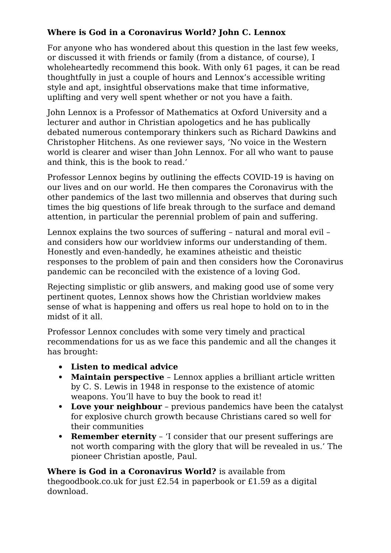## **Where is God in a Coronavirus World? John C. Lennox**

For anyone who has wondered about this question in the last few weeks, or discussed it with friends or family (from a distance, of course), I wholeheartedly recommend this book. With only 61 pages, it can be read thoughtfully in just a couple of hours and Lennox's accessible writing style and apt, insightful observations make that time informative, uplifting and very well spent whether or not you have a faith.

John Lennox is a Professor of Mathematics at Oxford University and a lecturer and author in Christian apologetics and he has publically debated numerous contemporary thinkers such as Richard Dawkins and Christopher Hitchens. As one reviewer says, 'No voice in the Western world is clearer and wiser than John Lennox. For all who want to pause and think, this is the book to read.'

Professor Lennox begins by outlining the effects COVID-19 is having on our lives and on our world. He then compares the Coronavirus with the other pandemics of the last two millennia and observes that during such times the big questions of life break through to the surface and demand attention, in particular the perennial problem of pain and suffering.

Lennox explains the two sources of suffering – natural and moral evil – and considers how our worldview informs our understanding of them. Honestly and even-handedly, he examines atheistic and theistic responses to the problem of pain and then considers how the Coronavirus pandemic can be reconciled with the existence of a loving God.

Rejecting simplistic or glib answers, and making good use of some very pertinent quotes, Lennox shows how the Christian worldview makes sense of what is happening and offers us real hope to hold on to in the midst of it all.

Professor Lennox concludes with some very timely and practical recommendations for us as we face this pandemic and all the changes it has brought:

- **Listen to medical advice**
- **Maintain perspective** Lennox applies a brilliant article written by C. S. Lewis in 1948 in response to the existence of atomic weapons. You'll have to buy the book to read it!
- **Love your neighbour** previous pandemics have been the catalyst for explosive church growth because Christians cared so well for their communities
- **Remember eternity** 'I consider that our present sufferings are not worth comparing with the glory that will be revealed in us.' The pioneer Christian apostle, Paul.

**Where is God in a Coronavirus World?** is available from thegoodbook.co.uk for just £2.54 in paperbook or £1.59 as a digital download.